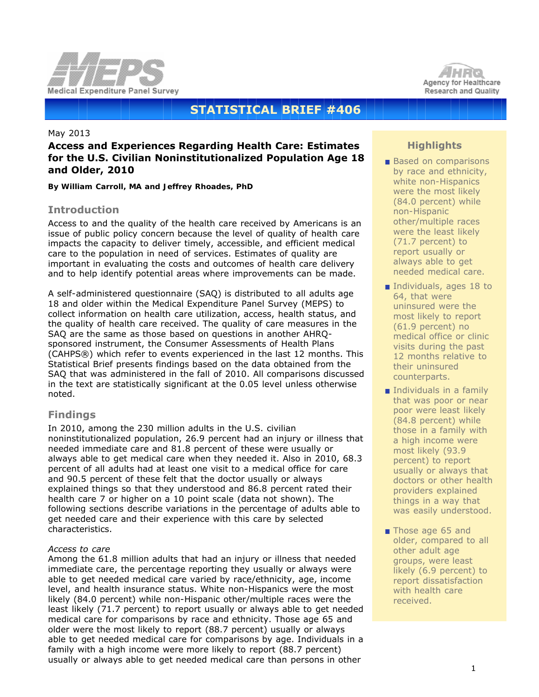



# **STATISTICAL BRIEF #406**

#### May 2013

# **Access and Experiences Regarding Health Care: Estimates for the U.S. Civilian Noninstitutionalized Population Age 18 and Older, 2010**

*By William Carroll, MA and Jeffrey Rhoades, PhD*

# **Introduction**

Access to and the quality of the health care received by Americans is an issue of public policy concern because the level of quality of health care impacts the capacity to deliver timely, accessible, and efficient medical care to the population in need of services. Estimates of quality are important in evaluating the costs and outcomes of health care delivery and to help identify potential areas where improvements can be made.

A self-administered questionnaire (SAQ) is distributed to all adults age 18 and older within the Medical Expenditure Panel Survey (MEPS) to collect information on health care utilization, access, health status, and the quality of health care received. The quality of care measures in the SAQ are the same as those based on questions in another AHRQsponsored instrument, the Consumer Assessments of Health Plans (CAHPS®) which refer to events experienced in the last 12 months. This Statistical Brief presents findings based on the data obtained from the SAQ that was administered in the fall of 2010. All comparisons discussed in the text are statistically significant at the 0.05 level unless otherwise noted.

# **Findings**

In 2010, among the 230 million adults in the U.S. civilian noninstitutionalized population, 26.9 percent had an injury or illness that needed immediate care and 81.8 percent of these were usually or always able to get medical care when they needed it. Also in 2010, 68.3 percent of all adults had at least one visit to a medical office for care and 90.5 percent of these felt that the doctor usually or always explained things so that they understood and 86.8 percent rated their health care 7 or higher on a 10 point scale (data not shown). The following sections describe variations in the percentage of adults able to get needed care and their experience with this care by selected characteristics.

#### *Access to care*

Among the 61.8 million adults that had an injury or illness that needed immediate care, the percentage reporting they usually or always were able to get needed medical care varied by race/ethnicity, age, income level, and health insurance status. White non-Hispanics were the most likely (84.0 percent) while non-Hispanic other/multiple races were the least likely (71.7 percent) to report usually or always able to get needed medical care for comparisons by race and ethnicity. Those age 65 and older were the most likely to report (88.7 percent) usually or always able to get needed medical care for comparisons by age. Individuals in a family with a high income were more likely to report (88.7 percent) usually or always able to get needed medical care than persons in other

# **Highlights**

- **Based on comparisons** by race and ethnicity, white non-Hispanics were the most likely (84.0 percent) while non-Hispanic other/multiple races were the least likely (71.7 percent) to report usually or always able to get needed medical care.
- Individuals, ages 18 to 64, that were uninsured were the most likely to report (61.9 percent) no medical office or clinic visits during the past 12 months relative to their uninsured counterparts.
- $\blacksquare$  Individuals in a family that was poor or near poor were least likely (84.8 percent) while those in a family with a high income were most likely (93.9 percent) to report usually or always that doctors or other health providers explained things in a way that was easily understood.
- Those age 65 and older, compared to all other adult age groups, were least likely (6.9 percent) to report dissatisfaction with health care received.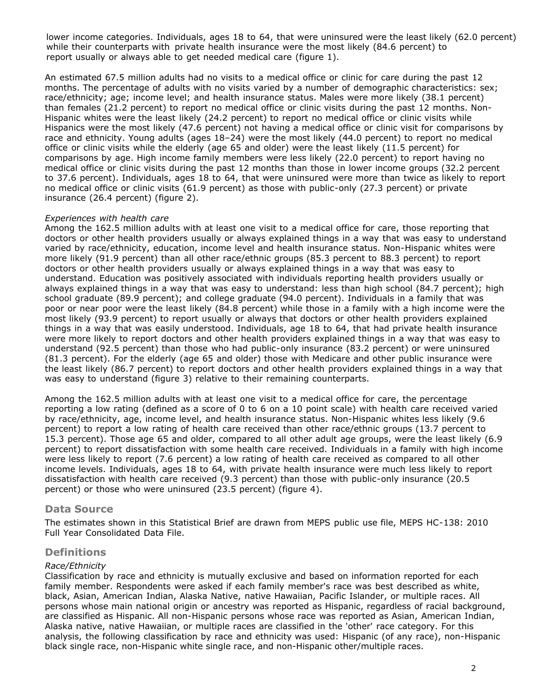lower income categories. Individuals, ages 18 to 64, that were uninsured were the least likely (62.0 percent) while their counterparts with private health insurance were the most likely (84.6 percent) to report usually or always able to get needed medical care (figure 1).

An estimated 67.5 million adults had no visits to a medical office or clinic for care during the past 12 months. The percentage of adults with no visits varied by a number of demographic characteristics: sex; race/ethnicity; age; income level; and health insurance status. Males were more likely (38.1 percent) than females (21.2 percent) to report no medical office or clinic visits during the past 12 months. Non-Hispanic whites were the least likely (24.2 percent) to report no medical office or clinic visits while Hispanics were the most likely (47.6 percent) not having a medical office or clinic visit for comparisons by race and ethnicity. Young adults (ages 18–24) were the most likely (44.0 percent) to report no medical office or clinic visits while the elderly (age 65 and older) were the least likely (11.5 percent) for comparisons by age. High income family members were less likely (22.0 percent) to report having no medical office or clinic visits during the past 12 months than those in lower income groups (32.2 percent to 37.6 percent). Individuals, ages 18 to 64, that were uninsured were more than twice as likely to report no medical office or clinic visits (61.9 percent) as those with public-only (27.3 percent) or private insurance (26.4 percent) (figure 2).

#### *Experiences with health care*

Among the 162.5 million adults with at least one visit to a medical office for care, those reporting that doctors or other health providers usually or always explained things in a way that was easy to understand varied by race/ethnicity, education, income level and health insurance status. Non-Hispanic whites were more likely (91.9 percent) than all other race/ethnic groups (85.3 percent to 88.3 percent) to report doctors or other health providers usually or always explained things in a way that was easy to understand. Education was positively associated with individuals reporting health providers usually or always explained things in a way that was easy to understand: less than high school (84.7 percent); high school graduate (89.9 percent); and college graduate (94.0 percent). Individuals in a family that was poor or near poor were the least likely (84.8 percent) while those in a family with a high income were the most likely (93.9 percent) to report usually or always that doctors or other health providers explained things in a way that was easily understood. Individuals, age 18 to 64, that had private health insurance were more likely to report doctors and other health providers explained things in a way that was easy to understand (92.5 percent) than those who had public-only insurance (83.2 percent) or were uninsured (81.3 percent). For the elderly (age 65 and older) those with Medicare and other public insurance were the least likely (86.7 percent) to report doctors and other health providers explained things in a way that was easy to understand (figure 3) relative to their remaining counterparts.

Among the 162.5 million adults with at least one visit to a medical office for care, the percentage reporting a low rating (defined as a score of 0 to 6 on a 10 point scale) with health care received varied by race/ethnicity, age, income level, and health insurance status. Non-Hispanic whites less likely (9.6 percent) to report a low rating of health care received than other race/ethnic groups (13.7 percent to 15.3 percent). Those age 65 and older, compared to all other adult age groups, were the least likely (6.9 percent) to report dissatisfaction with some health care received. Individuals in a family with high income were less likely to report (7.6 percent) a low rating of health care received as compared to all other income levels. Individuals, ages 18 to 64, with private health insurance were much less likely to report dissatisfaction with health care received (9.3 percent) than those with public-only insurance (20.5 percent) or those who were uninsured (23.5 percent) (figure 4).

## **Data Source**

The estimates shown in this Statistical Brief are drawn from MEPS public use file, MEPS HC-138: 2010 Full Year Consolidated Data File.

## **Definitions**

#### *Race/Ethnicity*

Classification by race and ethnicity is mutually exclusive and based on information reported for each family member. Respondents were asked if each family member's race was best described as white, black, Asian, American Indian, Alaska Native, native Hawaiian, Pacific Islander, or multiple races. All persons whose main national origin or ancestry was reported as Hispanic, regardless of racial background, are classified as Hispanic. All non-Hispanic persons whose race was reported as Asian, American Indian, Alaska native, native Hawaiian, or multiple races are classified in the 'other' race category. For this analysis, the following classification by race and ethnicity was used: Hispanic (of any race), non-Hispanic black single race, non-Hispanic white single race, and non-Hispanic other/multiple races.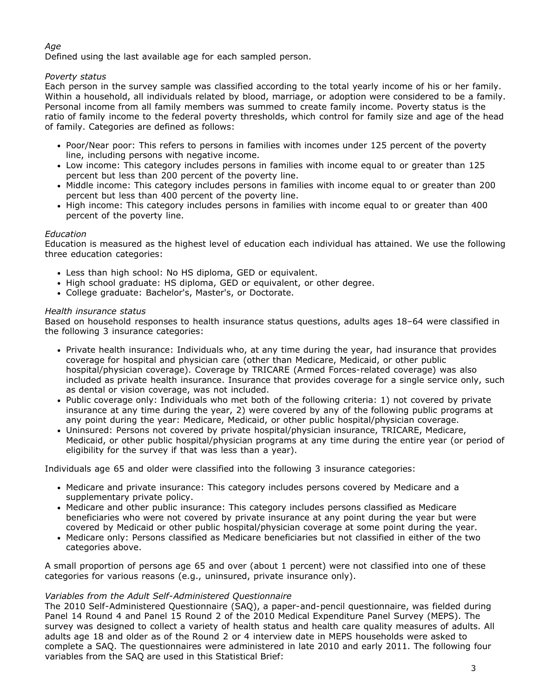## *Age*

Defined using the last available age for each sampled person.

## *Poverty status*

Each person in the survey sample was classified according to the total yearly income of his or her family. Within a household, all individuals related by blood, marriage, or adoption were considered to be a family. Personal income from all family members was summed to create family income. Poverty status is the ratio of family income to the federal poverty thresholds, which control for family size and age of the head of family. Categories are defined as follows:

- Poor/Near poor: This refers to persons in families with incomes under 125 percent of the poverty line, including persons with negative income.
- Low income: This category includes persons in families with income equal to or greater than 125 percent but less than 200 percent of the poverty line.
- Middle income: This category includes persons in families with income equal to or greater than 200 percent but less than 400 percent of the poverty line.
- High income: This category includes persons in families with income equal to or greater than 400 percent of the poverty line.

## *Education*

Education is measured as the highest level of education each individual has attained. We use the following three education categories:

- Less than high school: No HS diploma, GED or equivalent.
- High school graduate: HS diploma, GED or equivalent, or other degree.
- College graduate: Bachelor's, Master's, or Doctorate.

## *Health insurance status*

Based on household responses to health insurance status questions, adults ages 18–64 were classified in the following 3 insurance categories:

- Private health insurance: Individuals who, at any time during the year, had insurance that provides coverage for hospital and physician care (other than Medicare, Medicaid, or other public hospital/physician coverage). Coverage by TRICARE (Armed Forces-related coverage) was also included as private health insurance. Insurance that provides coverage for a single service only, such as dental or vision coverage, was not included.
- Public coverage only: Individuals who met both of the following criteria: 1) not covered by private insurance at any time during the year, 2) were covered by any of the following public programs at any point during the year: Medicare, Medicaid, or other public hospital/physician coverage.
- Uninsured: Persons not covered by private hospital/physician insurance, TRICARE, Medicare, Medicaid, or other public hospital/physician programs at any time during the entire year (or period of eligibility for the survey if that was less than a year).

Individuals age 65 and older were classified into the following 3 insurance categories:

- Medicare and private insurance: This category includes persons covered by Medicare and a supplementary private policy.
- Medicare and other public insurance: This category includes persons classified as Medicare beneficiaries who were not covered by private insurance at any point during the year but were covered by Medicaid or other public hospital/physician coverage at some point during the year.
- Medicare only: Persons classified as Medicare beneficiaries but not classified in either of the two categories above.

A small proportion of persons age 65 and over (about 1 percent) were not classified into one of these categories for various reasons (e.g., uninsured, private insurance only).

## *Variables from the Adult Self-Administered Questionnaire*

The 2010 Self-Administered Questionnaire (SAQ), a paper-and-pencil questionnaire, was fielded during Panel 14 Round 4 and Panel 15 Round 2 of the 2010 Medical Expenditure Panel Survey (MEPS). The survey was designed to collect a variety of health status and health care quality measures of adults. All adults age 18 and older as of the Round 2 or 4 interview date in MEPS households were asked to complete a SAQ. The questionnaires were administered in late 2010 and early 2011. The following four variables from the SAQ are used in this Statistical Brief: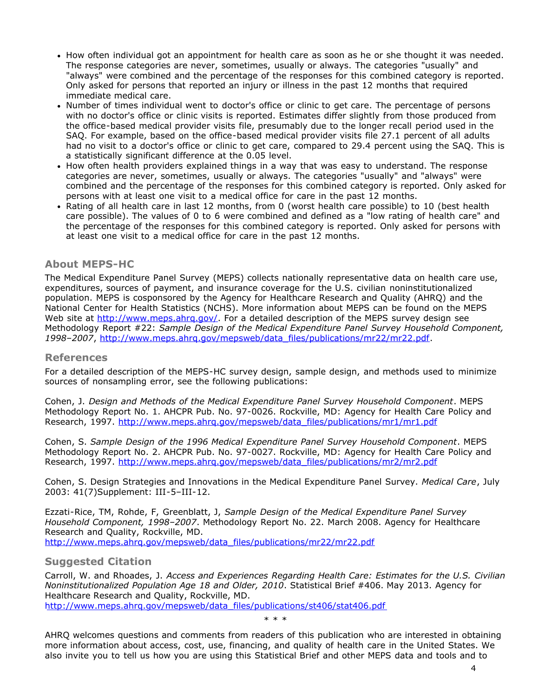- How often individual got an appointment for health care as soon as he or she thought it was needed. The response categories are never, sometimes, usually or always. The categories "usually" and "always" were combined and the percentage of the responses for this combined category is reported. Only asked for persons that reported an injury or illness in the past 12 months that required immediate medical care.
- Number of times individual went to doctor's office or clinic to get care. The percentage of persons with no doctor's office or clinic visits is reported. Estimates differ slightly from those produced from the office-based medical provider visits file, presumably due to the longer recall period used in the SAQ. For example, based on the office-based medical provider visits file 27.1 percent of all adults had no visit to a doctor's office or clinic to get care, compared to 29.4 percent using the SAQ. This is a statistically significant difference at the 0.05 level.
- How often health providers explained things in a way that was easy to understand. The response categories are never, sometimes, usually or always. The categories "usually" and "always" were combined and the percentage of the responses for this combined category is reported. Only asked for persons with at least one visit to a medical office for care in the past 12 months.
- Rating of all health care in last 12 months, from 0 (worst health care possible) to 10 (best health care possible). The values of 0 to 6 were combined and defined as a "low rating of health care" and the percentage of the responses for this combined category is reported. Only asked for persons with at least one visit to a medical office for care in the past 12 months.

## **About MEPS-HC**

The Medical Expenditure Panel Survey (MEPS) collects nationally representative data on health care use, expenditures, sources of payment, and insurance coverage for the U.S. civilian noninstitutionalized population. MEPS is cosponsored by the Agency for Healthcare Research and Quality (AHRQ) and the National Center for Health Statistics (NCHS). More information about MEPS can be found on the MEPS Web site at http://www.meps.ahrg.gov/. For a detailed description of the MEPS survey design see Methodology Report #22: *Sample Design of the Medical Expenditure Panel Survey Household Component, 1998–2007*, [http://www.meps.ahrq.gov/mepsweb/data\\_files/publications/mr22/mr22.pdf](http://www.meps.ahrq.gov/mepsweb/data_files/publications/mr22/mr22.pdf).

## **References**

For a detailed description of the MEPS-HC survey design, sample design, and methods used to minimize sources of nonsampling error, see the following publications:

Cohen, J. *Design and Methods of the Medical Expenditure Panel Survey Household Component*. MEPS Methodology Report No. 1. AHCPR Pub. No. 97-0026. Rockville, MD: Agency for Health Care Policy and Research, 1997. [http://www.meps.ahrq.gov/mepsweb/data\\_files/publications/mr1/mr1.pdf](http://www.meps.ahrq.gov/mepsweb/data_files/publications/mr1/mr1.pdf)

Cohen, S. *Sample Design of the 1996 Medical Expenditure Panel Survey Household Component*. MEPS Methodology Report No. 2. AHCPR Pub. No. 97-0027. Rockville, MD: Agency for Health Care Policy and Research, 1997. [http://www.meps.ahrq.gov/mepsweb/data\\_files/publications/mr2/mr2.pdf](http://www.meps.ahrq.gov/mepsweb/data_files/publications/mr2/mr2.pdf)

Cohen, S. Design Strategies and Innovations in the Medical Expenditure Panel Survey. *Medical Care*, July 2003: 41(7)Supplement: III-5–III-12.

Ezzati-Rice, TM, Rohde, F, Greenblatt, J, *Sample Design of the Medical Expenditure Panel Survey Household Component, 1998–2007*. Methodology Report No. 22. March 2008. Agency for Healthcare Research and Quality, Rockville, MD. [http://www.meps.ahrq.gov/mepsweb/data\\_files/publications/mr22/mr22.pdf](http://www.meps.ahrq.gov/mepsweb/data_files/publications/mr22/mr22.pdf)

## **Suggested Citation**

Carroll, W. and Rhoades, J. *Access and Experiences Regarding Health Care: Estimates for the U.S. Civilian Noninstitutionalized Population Age 18 and Older, 2010*. Statistical Brief #406. May 2013. Agency for Healthcare Research and Quality, Rockville, MD.

[http://www.meps.ahrq.gov/mepsweb/data\\_files/publications/st406/stat406.pdf](http://www.meps.ahrq.gov/mepsweb/data_files/publications/st406/stat406.pdf)

\* \* \*

AHRQ welcomes questions and comments from readers of this publication who are interested in obtaining more information about access, cost, use, financing, and quality of health care in the United States. We also invite you to tell us how you are using this Statistical Brief and other MEPS data and tools and to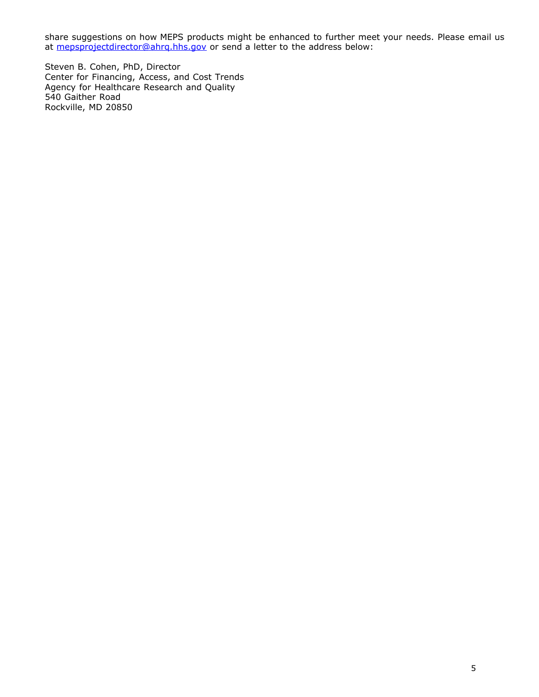share suggestions on how MEPS products might be enhanced to further meet your needs. Please email us at [mepsprojectdirector@ahrq.hhs.gov](mailto:MEPSProjectDirector@ahrq.hhs.gov) or send a letter to the address below:

Steven B. Cohen, PhD, Director Center for Financing, Access, and Cost Trends Agency for Healthcare Research and Quality 540 Gaither Road Rockville, MD 20850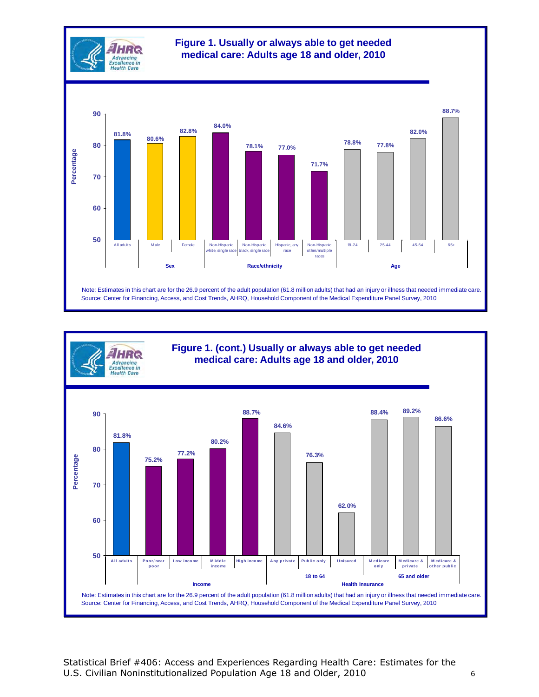



Statistical Brief #406: Access and Experiences Regarding Health Care: Estimates for the U.S. Civilian Noninstitutionalized Population Age 18 and Older, 2010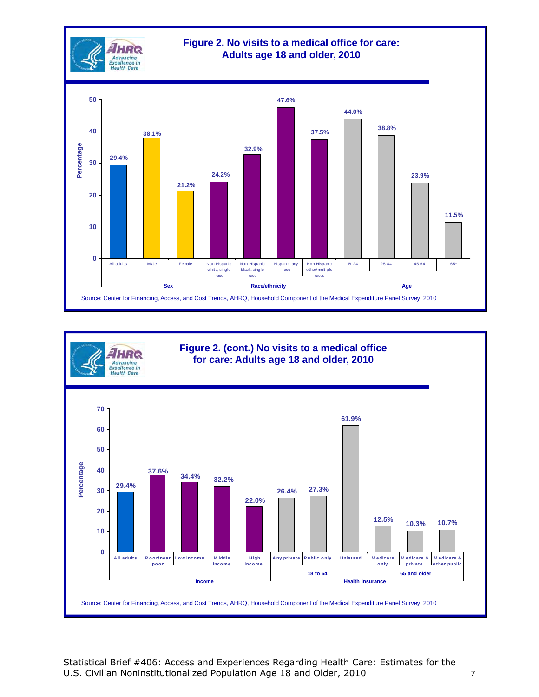



Statistical Brief #406: Access and Experiences Regarding Health Care: Estimates for the U.S. Civilian Noninstitutionalized Population Age 18 and Older, 2010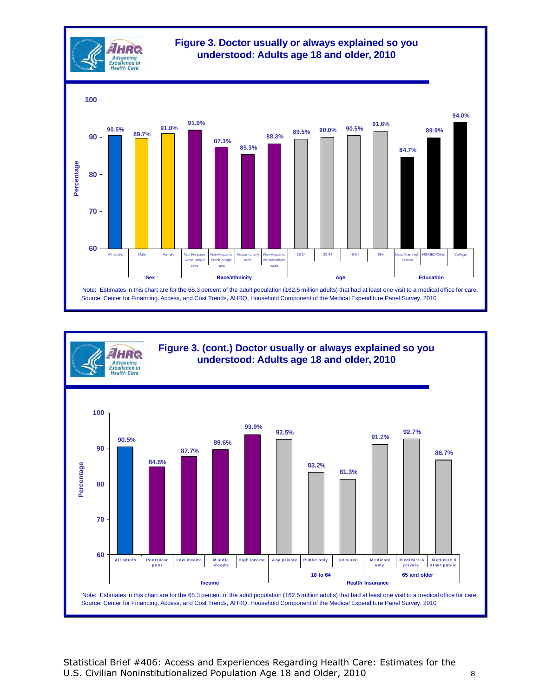

**Figure 3. (cont.) Doctor usually or always explained so you understood: Adults age 18 and older, 2010**

**HRC** Advancing<br>Excellence in **Health Care** 



Statistical Brief #406: Access and Experiences Regarding Health Care: Estimates for the U.S. Civilian Noninstitutionalized Population Age 18 and Older, 2010